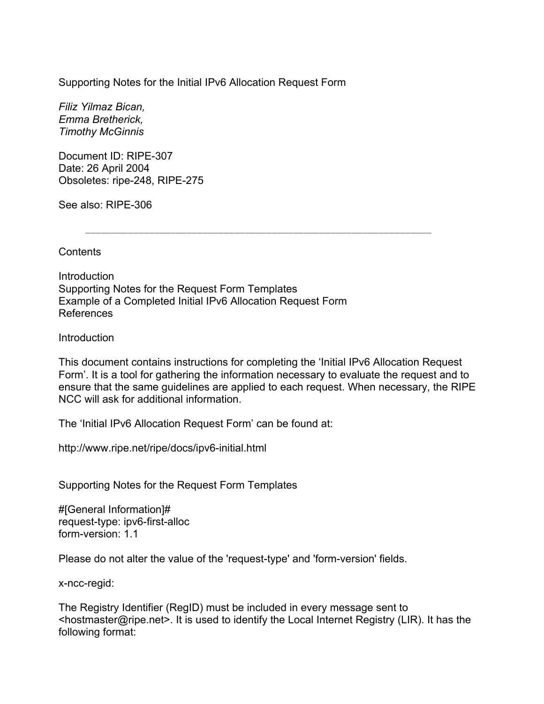Supporting Notes for the Initial IPv6 Allocation Request Form

*Filiz Yilmaz Bican, Emma Bretherick, Timothy McGinnis* 

Document ID: RIPE-307 Date: 26 April 2004 Obsoletes: ripe-248, RIPE-275

See also: RIPE-306

**Contents** 

**Introduction** Supporting Notes for the Request Form Templates Example of a Completed Initial IPv6 Allocation Request Form References

Introduction

This document contains instructions for completing the 'Initial IPv6 Allocation Request Form'. It is a tool for gathering the information necessary to evaluate the request and to ensure that the same guidelines are applied to each request. When necessary, the RIPE NCC will ask for additional information.

The 'Initial IPv6 Allocation Request Form' can be found at:

http://www.ripe.net/ripe/docs/ipv6-initial.html

Supporting Notes for the Request Form Templates

#[General Information]# request-type: ipv6-first-alloc form-version: 1.1

Please do not alter the value of the 'request-type' and 'form-version' fields.

x-ncc-regid:

The Registry Identifier (RegID) must be included in every message sent to <hostmaster@ripe.net>. It is used to identify the Local Internet Registry (LIR). It has the following format: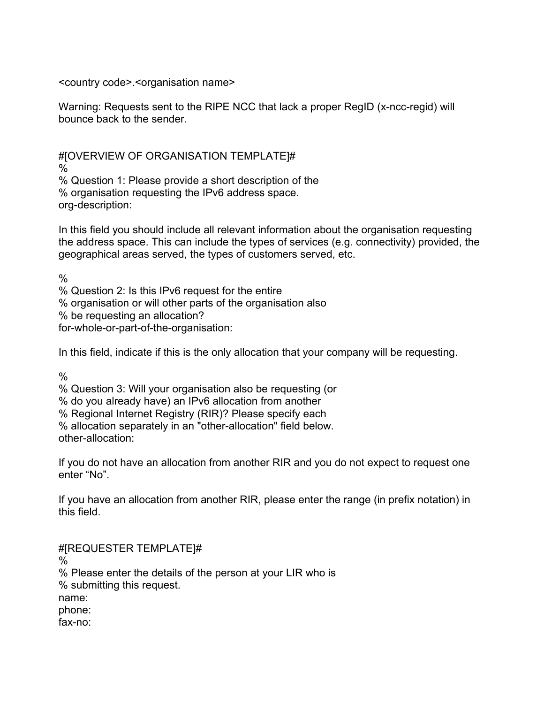<country code>.<organisation name>

Warning: Requests sent to the RIPE NCC that lack a proper RegID (x-ncc-regid) will bounce back to the sender.

#[OVERVIEW OF ORGANISATION TEMPLATE]# %

% Question 1: Please provide a short description of the % organisation requesting the IPv6 address space. org-description:

In this field you should include all relevant information about the organisation requesting the address space. This can include the types of services (e.g. connectivity) provided, the geographical areas served, the types of customers served, etc.

%

% Question 2: Is this IPv6 request for the entire

% organisation or will other parts of the organisation also

% be requesting an allocation?

for-whole-or-part-of-the-organisation:

In this field, indicate if this is the only allocation that your company will be requesting.

%

% Question 3: Will your organisation also be requesting (or

% do you already have) an IPv6 allocation from another

% Regional Internet Registry (RIR)? Please specify each

% allocation separately in an "other-allocation" field below. other-allocation:

If you do not have an allocation from another RIR and you do not expect to request one enter "No".

If you have an allocation from another RIR, please enter the range (in prefix notation) in this field.

#[REQUESTER TEMPLATE]# % % Please enter the details of the person at your LIR who is % submitting this request. name: phone: fax-no: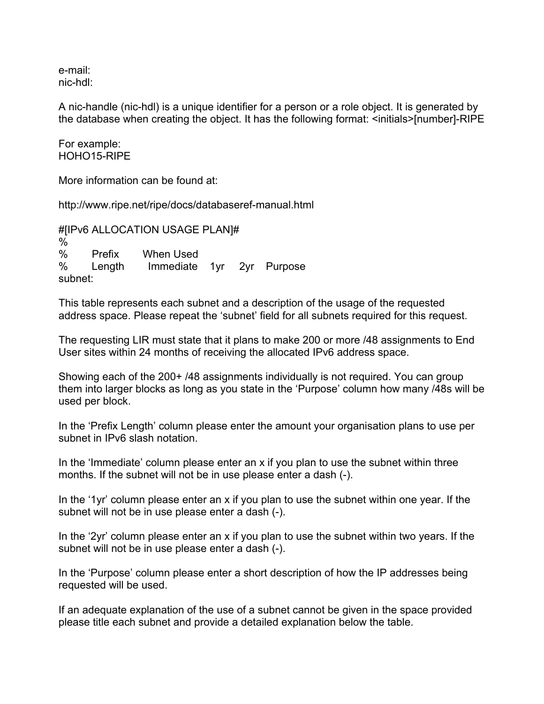e-mail: nic-hdl:

A nic-handle (nic-hdl) is a unique identifier for a person or a role object. It is generated by the database when creating the object. It has the following format: <initials>[number]-RIPE

For example: HOHO15-RIPE

More information can be found at:

http://www.ripe.net/ripe/docs/databaseref-manual.html

#[IPv6 ALLOCATION USAGE PLAN]#  $\frac{0}{6}$ % Prefix When Used % Length Immediate 1yr 2yr Purpose subnet:

This table represents each subnet and a description of the usage of the requested address space. Please repeat the 'subnet' field for all subnets required for this request.

The requesting LIR must state that it plans to make 200 or more /48 assignments to End User sites within 24 months of receiving the allocated IPv6 address space.

Showing each of the 200+ /48 assignments individually is not required. You can group them into larger blocks as long as you state in the 'Purpose' column how many /48s will be used per block.

In the 'Prefix Length' column please enter the amount your organisation plans to use per subnet in IPv6 slash notation.

In the 'Immediate' column please enter an x if you plan to use the subnet within three months. If the subnet will not be in use please enter a dash (-).

In the '1yr' column please enter an x if you plan to use the subnet within one year. If the subnet will not be in use please enter a dash (-).

In the '2yr' column please enter an x if you plan to use the subnet within two years. If the subnet will not be in use please enter a dash (-).

In the 'Purpose' column please enter a short description of how the IP addresses being requested will be used.

If an adequate explanation of the use of a subnet cannot be given in the space provided please title each subnet and provide a detailed explanation below the table.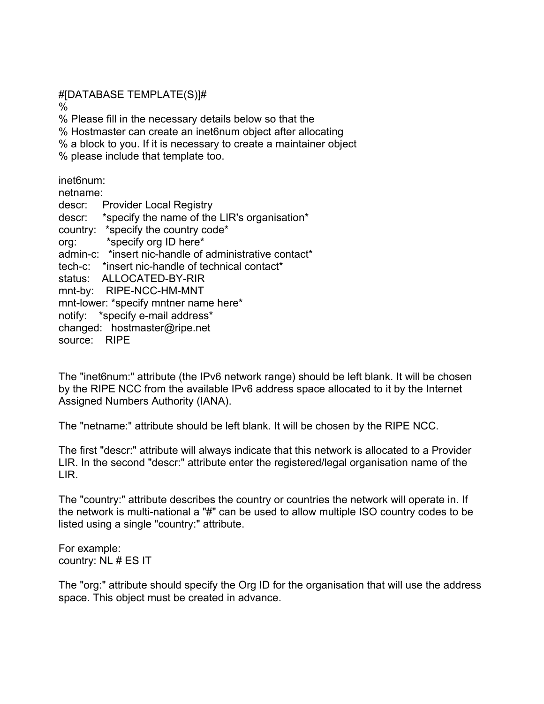#[DATABASE TEMPLATE(S)]#

%

% Please fill in the necessary details below so that the % Hostmaster can create an inet6num object after allocating % a block to you. If it is necessary to create a maintainer object

% please include that template too.

inet6num:

netname: descr: Provider Local Registry descr: \*specify the name of the LIR's organisation\* country: \*specify the country code\* org: \*specify org ID here\* admin-c: \*insert nic-handle of administrative contact\* tech-c: \*insert nic-handle of technical contact\* status: ALLOCATED-BY-RIR mnt-by: RIPE-NCC-HM-MNT mnt-lower: \*specify mntner name here\* notify: \*specify e-mail address\* changed: hostmaster@ripe.net source: RIPE

The "inet6num:" attribute (the IPv6 network range) should be left blank. It will be chosen by the RIPE NCC from the available IPv6 address space allocated to it by the Internet Assigned Numbers Authority (IANA).

The "netname:" attribute should be left blank. It will be chosen by the RIPE NCC.

The first "descr:" attribute will always indicate that this network is allocated to a Provider LIR. In the second "descr:" attribute enter the registered/legal organisation name of the LIR.

The "country:" attribute describes the country or countries the network will operate in. If the network is multi-national a "#" can be used to allow multiple ISO country codes to be listed using a single "country:" attribute.

For example: country: NL # ES IT

The "org:" attribute should specify the Org ID for the organisation that will use the address space. This object must be created in advance.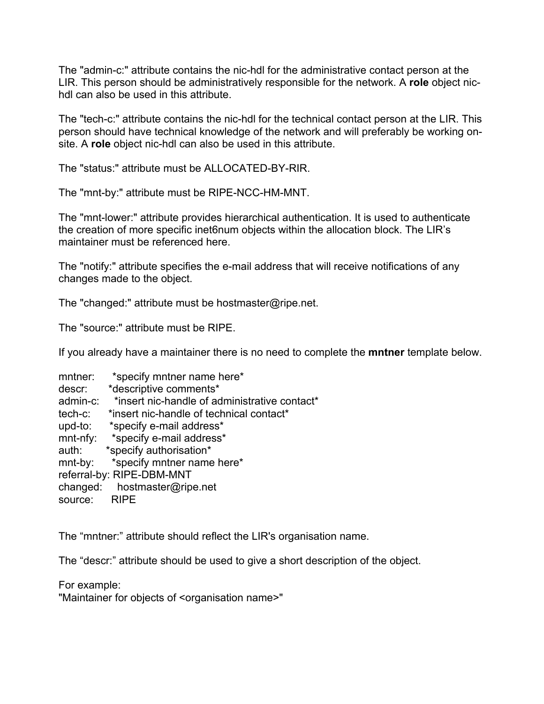The "admin-c:" attribute contains the nic-hdl for the administrative contact person at the LIR. This person should be administratively responsible for the network. A **role** object nichdl can also be used in this attribute.

The "tech-c:" attribute contains the nic-hdl for the technical contact person at the LIR. This person should have technical knowledge of the network and will preferably be working onsite. A **role** object nic-hdl can also be used in this attribute.

The "status:" attribute must be ALLOCATED-BY-RIR.

The "mnt-by:" attribute must be RIPE-NCC-HM-MNT.

The "mnt-lower:" attribute provides hierarchical authentication. It is used to authenticate the creation of more specific inet6num objects within the allocation block. The LIR's maintainer must be referenced here.

The "notify:" attribute specifies the e-mail address that will receive notifications of any changes made to the object.

The "changed:" attribute must be hostmaster@ripe.net.

The "source:" attribute must be RIPE.

If you already have a maintainer there is no need to complete the **mntner** template below.

| mntner:                   | *specify mntner name here*                    |  |  |  |
|---------------------------|-----------------------------------------------|--|--|--|
| descr:                    | *descriptive comments*                        |  |  |  |
| admin-c:                  | *insert nic-handle of administrative contact* |  |  |  |
| tech-c:                   | *insert nic-handle of technical contact*      |  |  |  |
| upd-to:                   | *specify e-mail address*                      |  |  |  |
| $mnt-nfy$ :               | *specify e-mail address*                      |  |  |  |
| auth:                     | *specify authorisation*                       |  |  |  |
| $mnt-by:$                 | *specify mntner name here*                    |  |  |  |
| referral-by: RIPE-DBM-MNT |                                               |  |  |  |
| changed:                  | hostmaster@ripe.net                           |  |  |  |
| source:                   | <b>RIPE</b>                                   |  |  |  |

The "mntner:" attribute should reflect the LIR's organisation name.

The "descr:" attribute should be used to give a short description of the object.

For example:

"Maintainer for objects of <organisation name>"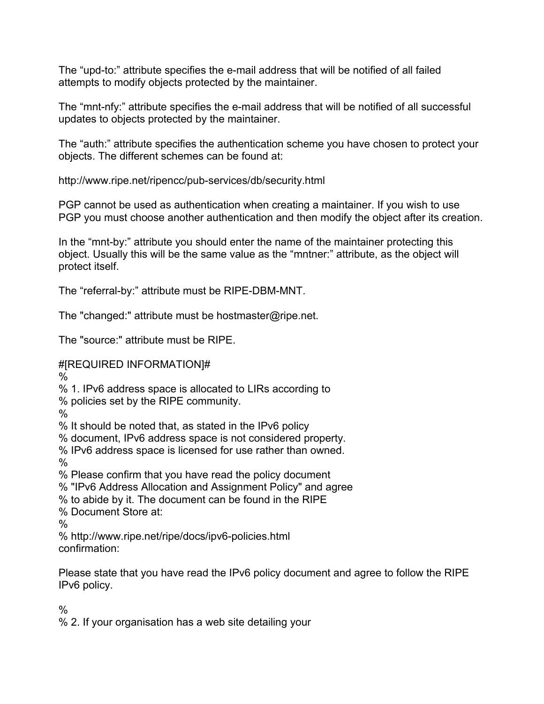The "upd-to:" attribute specifies the e-mail address that will be notified of all failed attempts to modify objects protected by the maintainer.

The "mnt-nfy:" attribute specifies the e-mail address that will be notified of all successful updates to objects protected by the maintainer.

The "auth:" attribute specifies the authentication scheme you have chosen to protect your objects. The different schemes can be found at:

http://www.ripe.net/ripencc/pub-services/db/security.html

PGP cannot be used as authentication when creating a maintainer. If you wish to use PGP you must choose another authentication and then modify the object after its creation.

In the "mnt-by:" attribute you should enter the name of the maintainer protecting this object. Usually this will be the same value as the "mntner:" attribute, as the object will protect itself.

The "referral-by:" attribute must be RIPE-DBM-MNT.

The "changed:" attribute must be hostmaster@ripe.net.

The "source:" attribute must be RIPE.

#[REQUIRED INFORMATION]#

%

% 1. IPv6 address space is allocated to LIRs according to

% policies set by the RIPE community.

%

% It should be noted that, as stated in the IPv6 policy

% document, IPv6 address space is not considered property.

% IPv6 address space is licensed for use rather than owned.

%

% Please confirm that you have read the policy document

% "IPv6 Address Allocation and Assignment Policy" and agree

% to abide by it. The document can be found in the RIPE

% Document Store at:

%

% http://www.ripe.net/ripe/docs/ipv6-policies.html confirmation:

Please state that you have read the IPv6 policy document and agree to follow the RIPE IPv6 policy.

 $\frac{0}{0}$ 

% 2. If your organisation has a web site detailing your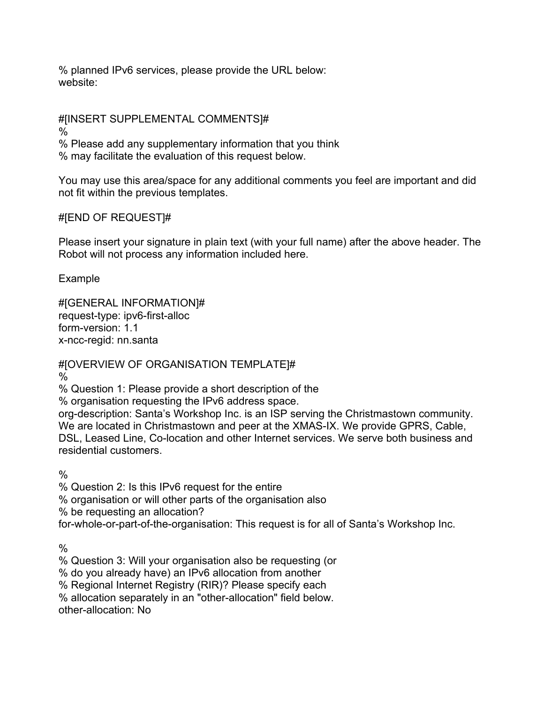% planned IPv6 services, please provide the URL below: website:

#[INSERT SUPPLEMENTAL COMMENTS]#

%

% Please add any supplementary information that you think % may facilitate the evaluation of this request below.

You may use this area/space for any additional comments you feel are important and did not fit within the previous templates.

## #[END OF REQUEST]#

Please insert your signature in plain text (with your full name) after the above header. The Robot will not process any information included here.

Example

#[GENERAL INFORMATION]# request-type: ipv6-first-alloc form-version: 1.1 x-ncc-regid: nn.santa

#[OVERVIEW OF ORGANISATION TEMPLATE]# %

% Question 1: Please provide a short description of the

% organisation requesting the IPv6 address space.

org-description: Santa's Workshop Inc. is an ISP serving the Christmastown community. We are located in Christmastown and peer at the XMAS-IX. We provide GPRS, Cable, DSL, Leased Line, Co-location and other Internet services. We serve both business and residential customers.

 $\frac{0}{0}$ 

% Question 2: Is this IPv6 request for the entire

% organisation or will other parts of the organisation also

% be requesting an allocation?

for-whole-or-part-of-the-organisation: This request is for all of Santa's Workshop Inc.

 $\frac{0}{0}$ 

% Question 3: Will your organisation also be requesting (or

% do you already have) an IPv6 allocation from another

% Regional Internet Registry (RIR)? Please specify each

% allocation separately in an "other-allocation" field below.

other-allocation: No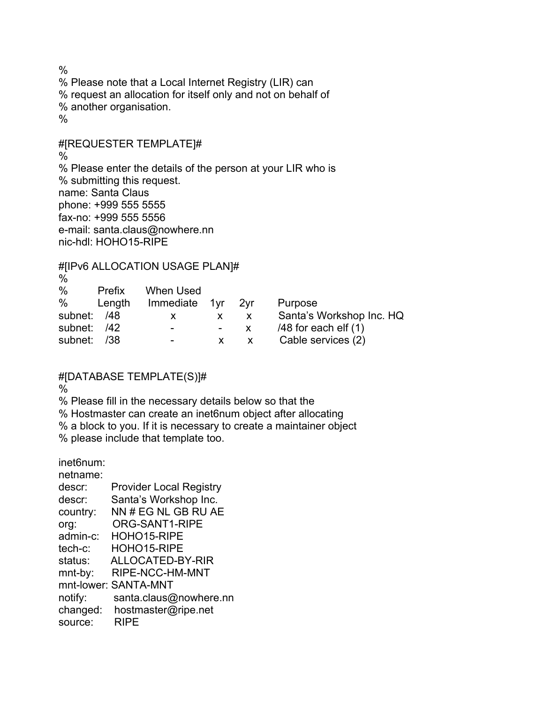$\frac{0}{0}$ % Please note that a Local Internet Registry (LIR) can % request an allocation for itself only and not on behalf of % another organisation.  $\frac{0}{0}$ 

#[REQUESTER TEMPLATE]# % % Please enter the details of the person at your LIR who is % submitting this request. name: Santa Claus phone: +999 555 5555 fax-no: +999 555 5556 e-mail: santa.claus@nowhere.nn nic-hdl: HOHO15-RIPE

#[IPv6 ALLOCATION USAGE PLAN]#

| %           |        |                          |    |                          |
|-------------|--------|--------------------------|----|--------------------------|
| %           | Prefix | When Used                |    |                          |
| %           | Length | Immediate 1yr 2yr        |    | Purpose                  |
| subnet: /48 |        | X.                       | X. | Santa's Workshop Inc. HQ |
| subnet: /42 |        | $\overline{\phantom{a}}$ | X. | $/48$ for each elf $(1)$ |
| subnet:     | /38    | $\overline{\phantom{0}}$ |    | Cable services (2)       |

## #[DATABASE TEMPLATE(S)]#

%

% Please fill in the necessary details below so that the

% Hostmaster can create an inet6num object after allocating

% a block to you. If it is necessary to create a maintainer object

% please include that template too.

inet6num:

| netname: |                                |
|----------|--------------------------------|
| descr:   | <b>Provider Local Registry</b> |
| descr:   | Santa's Workshop Inc.          |
| country: | NN # EG NL GB RU AE            |
| org:     | ORG-SANT1-RIPE                 |
| admin-c: | HOHO15-RIPE                    |
| tech-c:  | HOHO15-RIPE                    |
| status:  | ALLOCATED-BY-RIR               |
| mnt-by:  | RIPE-NCC-HM-MNT                |
|          | mnt-lower: SANTA-MNT           |
| notify:  | santa.claus@nowhere.nn         |
| changed: | hostmaster@ripe.net            |
| source:  | <b>RIPE</b>                    |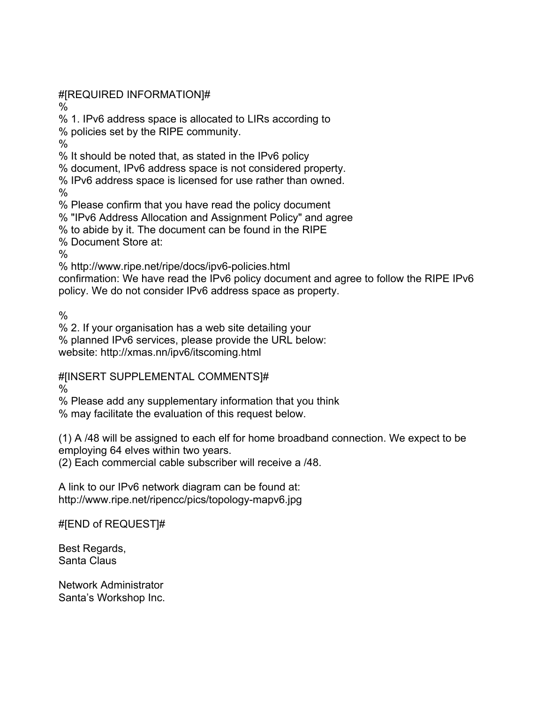#[REQUIRED INFORMATION]#

%

% 1. IPv6 address space is allocated to LIRs according to

% policies set by the RIPE community.

%

% It should be noted that, as stated in the IPv6 policy

% document, IPv6 address space is not considered property.

% IPv6 address space is licensed for use rather than owned.

 $\%$ 

% Please confirm that you have read the policy document

% "IPv6 Address Allocation and Assignment Policy" and agree

% to abide by it. The document can be found in the RIPE

% Document Store at:

 $\frac{0}{0}$ 

% http://www.ripe.net/ripe/docs/ipv6-policies.html

confirmation: We have read the IPv6 policy document and agree to follow the RIPE IPv6 policy. We do not consider IPv6 address space as property.

%

% 2. If your organisation has a web site detailing your

% planned IPv6 services, please provide the URL below:

website: http://xmas.nn/ipv6/itscoming.html

#[INSERT SUPPLEMENTAL COMMENTS]#

%

% Please add any supplementary information that you think

% may facilitate the evaluation of this request below.

(1) A /48 will be assigned to each elf for home broadband connection. We expect to be employing 64 elves within two years.

(2) Each commercial cable subscriber will receive a /48.

A link to our IPv6 network diagram can be found at: http://www.ripe.net/ripencc/pics/topology-mapv6.jpg

#[END of REQUEST]#

Best Regards, Santa Claus

Network Administrator Santa's Workshop Inc.